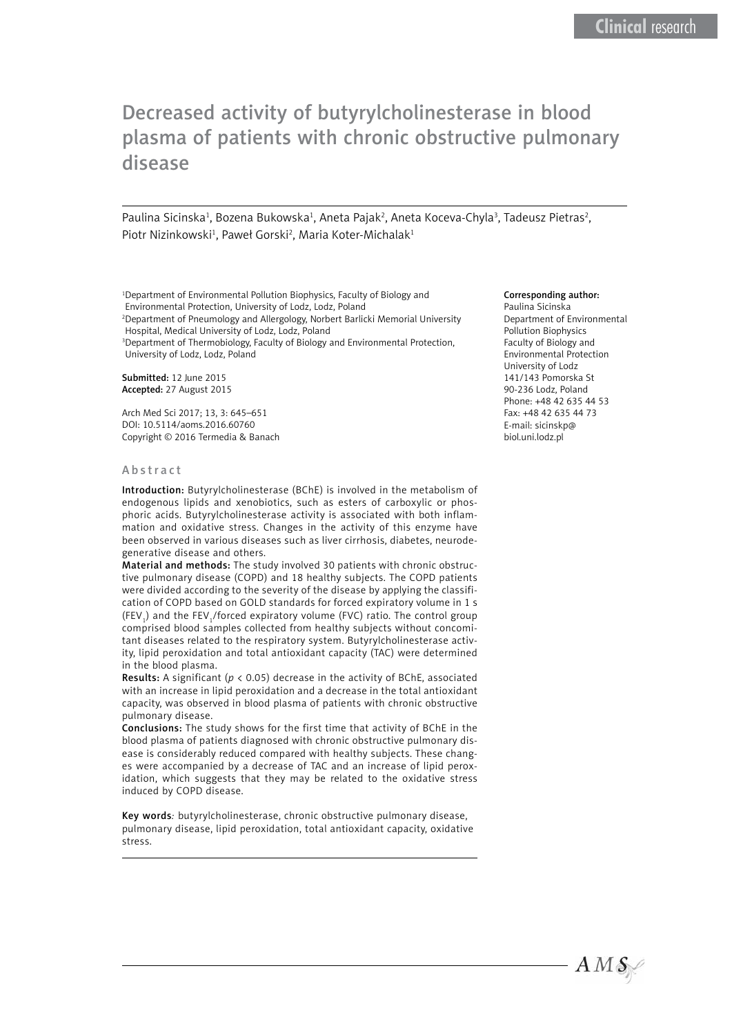# Decreased activity of butyrylcholinesterase in blood plasma of patients with chronic obstructive pulmonary disease

Paulina Sicinska<sup>1</sup>, Bozena Bukowska<sup>1</sup>, Aneta Pajak<sup>2</sup>, Aneta Koceva-Chyla<sup>3</sup>, Tadeusz Pietras<sup>2</sup>, Piotr Nizinkowski<sup>1</sup>, Paweł Gorski<sup>2</sup>, Maria Koter-Michalak<sup>1</sup>

1 Department of Environmental Pollution Biophysics, Faculty of Biology and Environmental Protection, University of Lodz, Lodz, Poland

2 Department of Pneumology and Allergology, Norbert Barlicki Memorial University Hospital, Medical University of Lodz, Lodz, Poland

<sup>3</sup> Department of Thermobiology, Faculty of Biology and Environmental Protection, University of Lodz, Lodz, Poland

Submitted: 12 June 2015 Accepted: 27 August 2015

Arch Med Sci 2017; 13, 3: 645–651 DOI: 10.5114/aoms.2016.60760 Copyright © 2016 Termedia & Banach

#### Abstract

Introduction: Butyrylcholinesterase (BChE) is involved in the metabolism of endogenous lipids and xenobiotics, such as esters of carboxylic or phosphoric acids. Butyrylcholinesterase activity is associated with both inflammation and oxidative stress. Changes in the activity of this enzyme have been observed in various diseases such as liver cirrhosis, diabetes, neurodegenerative disease and others.

Material and methods: The study involved 30 patients with chronic obstructive pulmonary disease (COPD) and 18 healthy subjects. The COPD patients were divided according to the severity of the disease by applying the classification of COPD based on GOLD standards for forced expiratory volume in 1 s (FEV<sub>1</sub>) and the FEV<sub>1</sub>/forced expiratory volume (FVC) ratio. The control group comprised blood samples collected from healthy subjects without concomitant diseases related to the respiratory system. Butyrylcholinesterase activity, lipid peroxidation and total antioxidant capacity (TAC) were determined in the blood plasma.

Results: A significant (*p* < 0.05) decrease in the activity of BChE, associated with an increase in lipid peroxidation and a decrease in the total antioxidant capacity, was observed in blood plasma of patients with chronic obstructive pulmonary disease.

Conclusions: The study shows for the first time that activity of BChE in the blood plasma of patients diagnosed with chronic obstructive pulmonary disease is considerably reduced compared with healthy subjects. These changes were accompanied by a decrease of TAC and an increase of lipid peroxidation, which suggests that they may be related to the oxidative stress induced by COPD disease.

Key words*:* butyrylcholinesterase, chronic obstructive pulmonary disease, pulmonary disease, lipid peroxidation, total antioxidant capacity, oxidative stress.

#### Corresponding author:

Paulina Sicinska Department of Environmental Pollution Biophysics Faculty of Biology and Environmental Protection University of Lodz 141/143 Pomorska St 90-236 Lodz, Poland Phone: +48 42 635 44 53 Fax: +48 42 635 44 73 E-mail: sicinskp@ biol.uni.lodz.pl

 $AMS$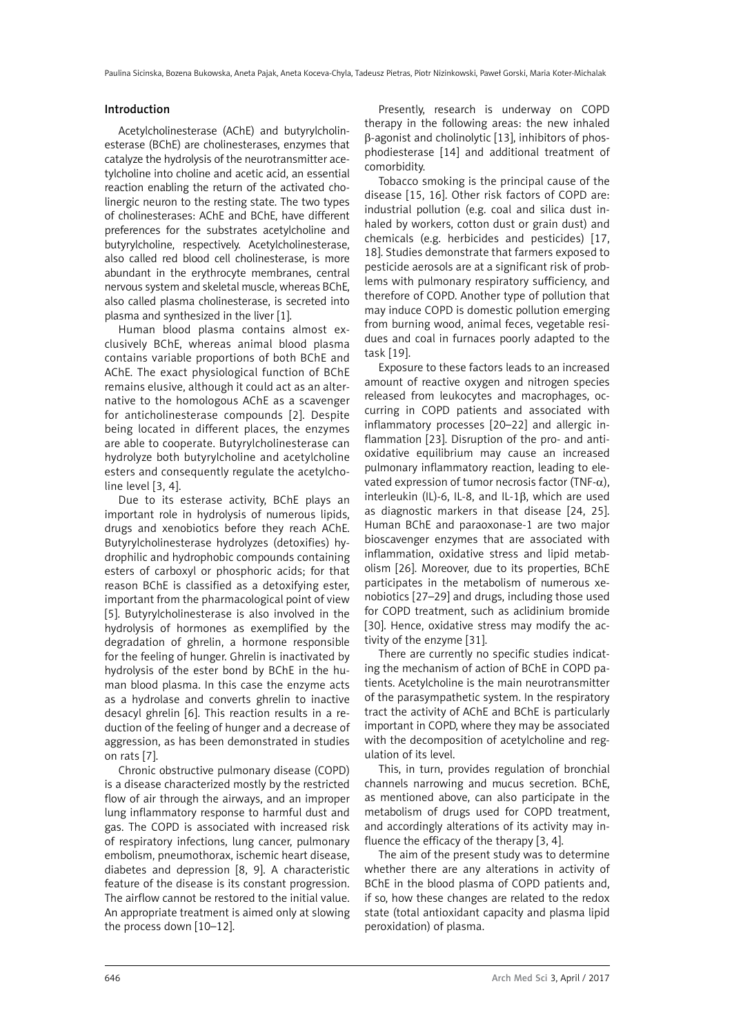#### Introduction

Acetylcholinesterase (AChE) and butyrylcholinesterase (BChE) are cholinesterases, enzymes that catalyze the hydrolysis of the neurotransmitter acetylcholine into choline and acetic acid, an essential reaction enabling the return of the activated cholinergic neuron to the resting state. The two types of cholinesterases: AChE and BChE, have different preferences for the substrates acetylcholine and butyrylcholine, respectively. Acetylcholinesterase, also called red blood cell cholinesterase, is more abundant in the erythrocyte membranes, central nervous system and skeletal muscle, whereas BChE, also called plasma cholinesterase, is secreted into plasma and synthesized in the liver [1].

Human blood plasma contains almost exclusively BChE, whereas animal blood plasma contains variable proportions of both BChE and AChE. The exact physiological function of BChE remains elusive, although it could act as an alternative to the homologous AChE as a scavenger for anticholinesterase compounds [2]. Despite being located in different places, the enzymes are able to cooperate. Butyrylcholinesterase can hydrolyze both butyrylcholine and acetylcholine esters and consequently regulate the acetylcholine level [3, 4].

Due to its esterase activity, BChE plays an important role in hydrolysis of numerous lipids, drugs and xenobiotics before they reach AChE. Butyrylcholinesterase hydrolyzes (detoxifies) hydrophilic and hydrophobic compounds containing esters of carboxyl or phosphoric acids; for that reason BChE is classified as a detoxifying ester, important from the pharmacological point of view [5]. Butyrylcholinesterase is also involved in the hydrolysis of hormones as exemplified by the degradation of ghrelin, a hormone responsible for the feeling of hunger. Ghrelin is inactivated by hydrolysis of the ester bond by BChE in the human blood plasma. In this case the enzyme acts as a hydrolase and converts ghrelin to inactive desacyl ghrelin [6]. This reaction results in a reduction of the feeling of hunger and a decrease of aggression, as has been demonstrated in studies on rats [7].

Chronic obstructive pulmonary disease (COPD) is a disease characterized mostly by the restricted flow of air through the airways, and an improper lung inflammatory response to harmful dust and gas. The COPD is associated with increased risk of respiratory infections, lung cancer, pulmonary embolism, pneumothorax, ischemic heart disease, diabetes and depression [8, 9]. A characteristic feature of the disease is its constant progression. The airflow cannot be restored to the initial value. An appropriate treatment is aimed only at slowing the process down [10–12].

Presently, research is underway on COPD therapy in the following areas: the new inhaled  $\beta$ -agonist and cholinolytic [13], inhibitors of phosphodiesterase [14] and additional treatment of comorbidity.

Tobacco smoking is the principal cause of the disease [15, 16]. Other risk factors of COPD are: industrial pollution (e.g. coal and silica dust inhaled by workers, cotton dust or grain dust) and chemicals (e.g. herbicides and pesticides) [17, 18]. Studies demonstrate that farmers exposed to pesticide aerosols are at a significant risk of problems with pulmonary respiratory sufficiency, and therefore of COPD. Another type of pollution that may induce COPD is domestic pollution emerging from burning wood, animal feces, vegetable residues and coal in furnaces poorly adapted to the task [19].

Exposure to these factors leads to an increased amount of reactive oxygen and nitrogen species released from leukocytes and macrophages, occurring in COPD patients and associated with inflammatory processes [20–22] and allergic inflammation [23]. Disruption of the pro- and antioxidative equilibrium may cause an increased pulmonary inflammatory reaction, leading to elevated expression of tumor necrosis factor (TNF- $\alpha$ ), interleukin (IL)-6, IL-8, and IL-1β, which are used as diagnostic markers in that disease [24, 25]. Human BChE and paraoxonase-1 are two major bioscavenger enzymes that are associated with inflammation, oxidative stress and lipid metabolism [26]. Moreover, due to its properties, BChE participates in the metabolism of numerous xenobiotics [27–29] and drugs, including those used for COPD treatment, such as aclidinium bromide [30]. Hence, oxidative stress may modify the activity of the enzyme [31].

There are currently no specific studies indicating the mechanism of action of BChE in COPD patients. Acetylcholine is the main neurotransmitter of the parasympathetic system. In the respiratory tract the activity of AChE and BChE is particularly important in COPD, where they may be associated with the decomposition of acetylcholine and regulation of its level.

This, in turn, provides regulation of bronchial channels narrowing and mucus secretion. BChE, as mentioned above, can also participate in the metabolism of drugs used for COPD treatment, and accordingly alterations of its activity may influence the efficacy of the therapy [3, 4].

The aim of the present study was to determine whether there are any alterations in activity of BChE in the blood plasma of COPD patients and, if so, how these changes are related to the redox state (total antioxidant capacity and plasma lipid peroxidation) of plasma.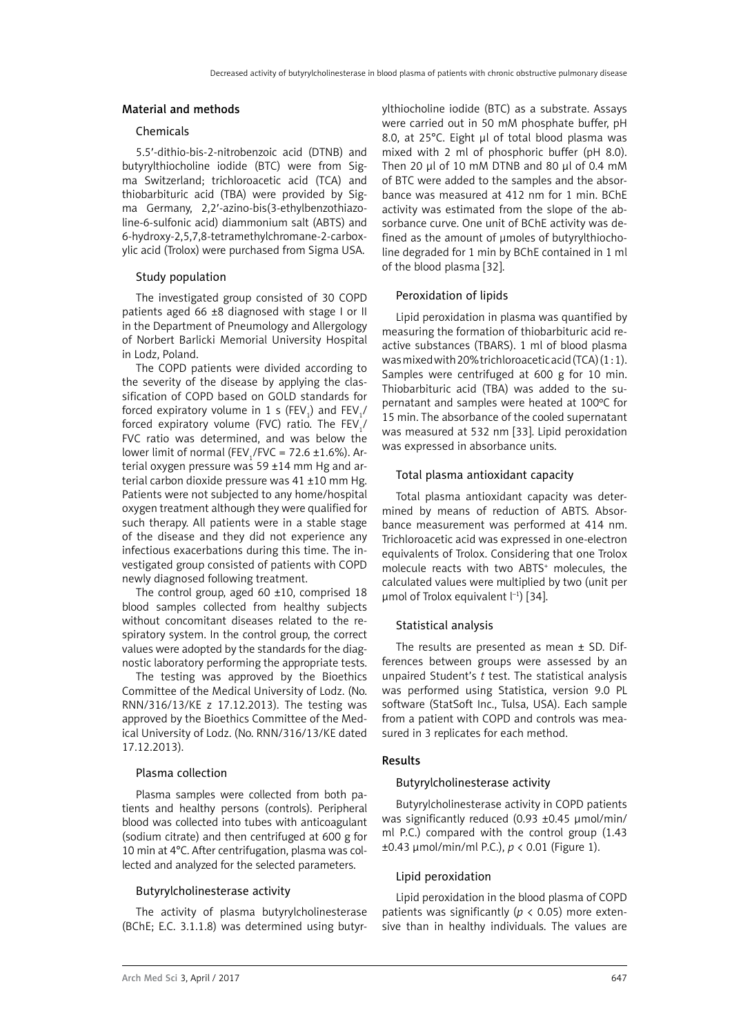#### Material and methods

# Chemicals

5.5′-dithio-bis-2-nitrobenzoic acid (DTNB) and butyrylthiocholine iodide (BTC) were from Sigma Switzerland; trichloroacetic acid (TCA) and thiobarbituric acid (TBA) were provided by Sigma Germany, 2,2′-azino-bis(3-ethylbenzothiazoline-6-sulfonic acid) diammonium salt (ABTS) and 6-hydroxy-2,5,7,8-tetramethylchromane-2-carboxylic acid (Trolox) were purchased from Sigma USA.

## Study population

The investigated group consisted of 30 COPD patients aged 66 ±8 diagnosed with stage I or II in the Department of Pneumology and Allergology of Norbert Barlicki Memorial University Hospital in Lodz, Poland.

The COPD patients were divided according to the severity of the disease by applying the classification of COPD based on GOLD standards for forced expiratory volume in 1 s (FEV<sub>1</sub>) and FEV<sub>1</sub>/ forced expiratory volume (FVC) ratio. The  $\mathsf{FEV}_{\mathbf{1}}$ / FVC ratio was determined, and was below the lower limit of normal (FEV<sub>1</sub>/FVC = 72.6  $\pm$ 1.6%). Arterial oxygen pressure was 59 ±14 mm Hg and arterial carbon dioxide pressure was 41 ±10 mm Hg. Patients were not subjected to any home/hospital oxygen treatment although they were qualified for such therapy. All patients were in a stable stage of the disease and they did not experience any infectious exacerbations during this time. The investigated group consisted of patients with COPD newly diagnosed following treatment.

The control group, aged 60  $\pm$ 10, comprised 18 blood samples collected from healthy subjects without concomitant diseases related to the respiratory system. In the control group, the correct values were adopted by the standards for the diagnostic laboratory performing the appropriate tests.

The testing was approved by the Bioethics Committee of the Medical University of Lodz. (No. RNN/316/13/KE z 17.12.2013). The testing was approved by the Bioethics Committee of the Medical University of Lodz. (No. RNN/316/13/KE dated 17.12.2013).

#### Plasma collection

Plasma samples were collected from both patients and healthy persons (controls). Peripheral blood was collected into tubes with anticoagulant (sodium citrate) and then centrifuged at 600 g for 10 min at 4°C. After centrifugation, plasma was collected and analyzed for the selected parameters.

#### Butyrylcholinesterase activity

The activity of plasma butyrylcholinesterase (BChE; E.C. 3.1.1.8) was determined using butyrylthiocholine iodide (BTC) as a substrate. Assays were carried out in 50 mM phosphate buffer, pH 8.0, at 25°C. Eight µl of total blood plasma was mixed with 2 ml of phosphoric buffer (pH 8.0). Then 20 µl of 10 mM DTNB and 80 µl of 0.4 mM of BTC were added to the samples and the absorbance was measured at 412 nm for 1 min. BChE activity was estimated from the slope of the absorbance curve. One unit of BChE activity was defined as the amount of umoles of butyrylthiocholine degraded for 1 min by BChE contained in 1 ml of the blood plasma [32].

## Peroxidation of lipids

Lipid peroxidation in plasma was quantified by measuring the formation of thiobarbituric acid reactive substances (TBARS). 1 ml of blood plasma was mixed with 20% trichloroacetic acid (TCA)  $(1:1)$ . Samples were centrifuged at 600 g for 10 min. Thiobarbituric acid (TBA) was added to the supernatant and samples were heated at 100ºC for 15 min. The absorbance of the cooled supernatant was measured at 532 nm [33]. Lipid peroxidation was expressed in absorbance units.

## Total plasma antioxidant capacity

Total plasma antioxidant capacity was determined by means of reduction of ABTS. Absorbance measurement was performed at 414 nm. Trichloroacetic acid was expressed in one-electron equivalents of Trolox. Considering that one Trolox molecule reacts with two ABTS+ molecules, the calculated values were multiplied by two (unit per umol of Trolox equivalent  $\vert$ <sup>-1</sup>) [34].

#### Statistical analysis

The results are presented as mean  $\pm$  SD. Differences between groups were assessed by an unpaired Student's *t* test. The statistical analysis was performed using Statistica, version 9.0 PL software (StatSoft Inc., Tulsa, USA). Each sample from a patient with COPD and controls was measured in 3 replicates for each method.

## Results

#### Butyrylcholinesterase activity

Butyrylcholinesterase activity in COPD patients was significantly reduced (0.93 ±0.45 µmol/min/ ml P.C.) compared with the control group (1.43 ±0.43 µmol/min/ml P.C.), *p* < 0.01 (Figure 1).

#### Lipid peroxidation

Lipid peroxidation in the blood plasma of COPD patients was significantly ( $p$  < 0.05) more extensive than in healthy individuals. The values are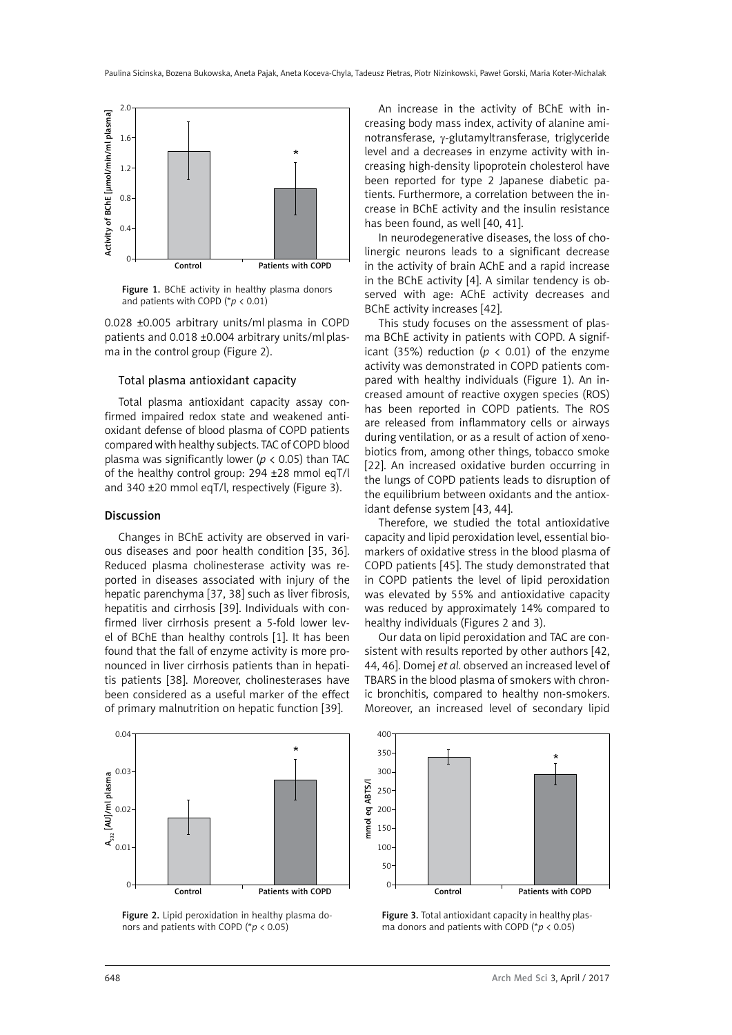

Figure 1. BChE activity in healthy plasma donors and patients with COPD (\**p* < 0.01)

0.028 ±0.005 arbitrary units/ml plasma in COPD patients and 0.018 ±0.004 arbitrary units/ml plasma in the control group (Figure 2).

#### Total plasma antioxidant capacity

Total plasma antioxidant capacity assay confirmed impaired redox state and weakened antioxidant defense of blood plasma of COPD patients compared with healthy subjects. TAC of COPD blood plasma was significantly lower (*p* < 0.05) than TAC of the healthy control group: 294 ±28 mmol eqT/l and 340 ±20 mmol eqT/l, respectively (Figure 3).

#### Discussion

Changes in BChE activity are observed in various diseases and poor health condition [35, 36]. Reduced plasma cholinesterase activity was reported in diseases associated with injury of the hepatic parenchyma [37, 38] such as liver fibrosis, hepatitis and cirrhosis [39]. Individuals with confirmed liver cirrhosis present a 5-fold lower level of BChE than healthy controls [1]. It has been found that the fall of enzyme activity is more pronounced in liver cirrhosis patients than in hepatitis patients [38]. Moreover, cholinesterases have been considered as a useful marker of the effect of primary malnutrition on hepatic function [39].



Figure 2. Lipid peroxidation in healthy plasma donors and patients with COPD (\**p* < 0.05)

An increase in the activity of BChE with increasing body mass index, activity of alanine aminotransferase, γ-glutamyltransferase, triglyceride level and a decreases in enzyme activity with increasing high-density lipoprotein cholesterol have been reported for type 2 Japanese diabetic patients. Furthermore, a correlation between the increase in BChE activity and the insulin resistance has been found, as well [40, 41].

In neurodegenerative diseases, the loss of cholinergic neurons leads to a significant decrease in the activity of brain AChE and a rapid increase in the BChE activity [4]. A similar tendency is observed with age: AChE activity decreases and BChE activity increases [42].

This study focuses on the assessment of plasma BChE activity in patients with COPD. A significant (35%) reduction ( $p \lt 0.01$ ) of the enzyme activity was demonstrated in COPD patients compared with healthy individuals (Figure 1). An increased amount of reactive oxygen species (ROS) has been reported in COPD patients. The ROS are released from inflammatory cells or airways during ventilation, or as a result of action of xenobiotics from, among other things, tobacco smoke [22]. An increased oxidative burden occurring in the lungs of COPD patients leads to disruption of the equilibrium between oxidants and the antioxidant defense system [43, 44].

Therefore, we studied the total antioxidative capacity and lipid peroxidation level, essential biomarkers of oxidative stress in the blood plasma of COPD patients [45]. The study demonstrated that in COPD patients the level of lipid peroxidation was elevated by 55% and antioxidative capacity was reduced by approximately 14% compared to healthy individuals (Figures 2 and 3).

Our data on lipid peroxidation and TAC are consistent with results reported by other authors [42, 44, 46]. Domej *et al.* observed an increased level of TBARS in the blood plasma of smokers with chronic bronchitis, compared to healthy non-smokers. Moreover, an increased level of secondary lipid



Figure 3. Total antioxidant capacity in healthy plasma donors and patients with COPD (\**p* < 0.05)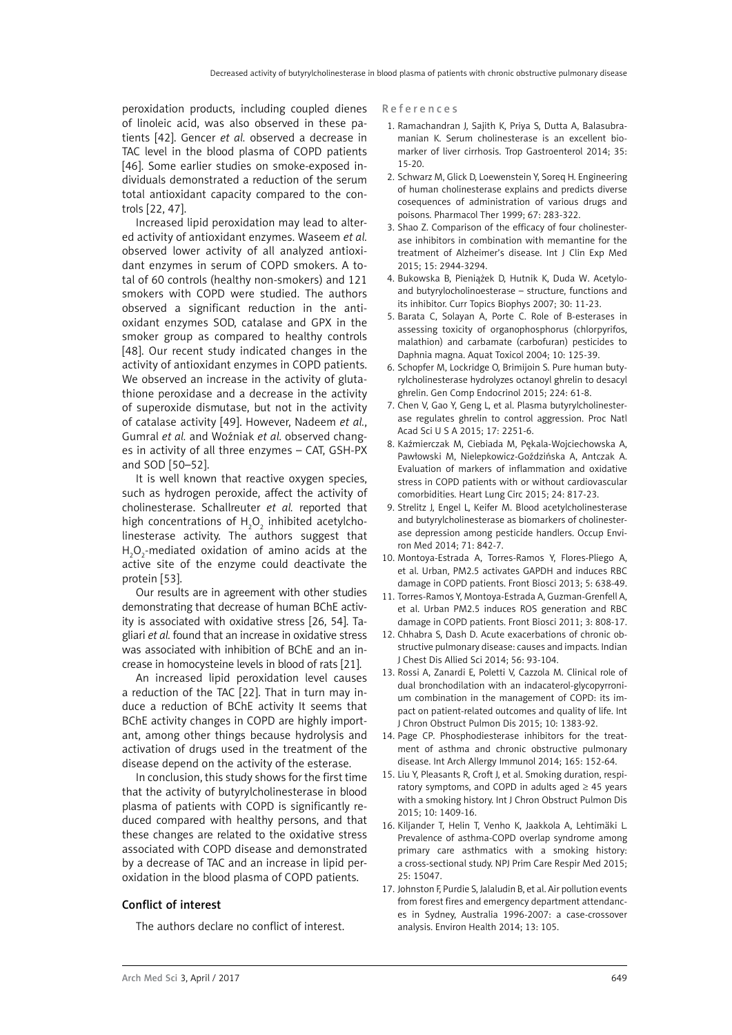peroxidation products, including coupled dienes of linoleic acid, was also observed in these patients [42]. Gencer *et al.* observed a decrease in TAC level in the blood plasma of COPD patients [46]. Some earlier studies on smoke-exposed individuals demonstrated a reduction of the serum total antioxidant capacity compared to the controls [22, 47].

Increased lipid peroxidation may lead to altered activity of antioxidant enzymes. Waseem *et al.* observed lower activity of all analyzed antioxidant enzymes in serum of COPD smokers. A total of 60 controls (healthy non-smokers) and 121 smokers with COPD were studied. The authors observed a significant reduction in the antioxidant enzymes SOD, catalase and GPX in the smoker group as compared to healthy controls [48]. Our recent study indicated changes in the activity of antioxidant enzymes in COPD patients. We observed an increase in the activity of glutathione peroxidase and a decrease in the activity of superoxide dismutase, but not in the activity of catalase activity [49]. However, Nadeem *et al.*, Gumral *et al.* and Woźniak *et al.* observed changes in activity of all three enzymes – CAT, GSH-PX and SOD [50–52].

It is well known that reactive oxygen species, such as hydrogen peroxide, affect the activity of cholinesterase. Schallreuter *et al.* reported that high concentrations of  $H_2O_2$  inhibited acetylcholinesterase activity. The authors suggest that  $H_2O_2$ -mediated oxidation of amino acids at the active site of the enzyme could deactivate the protein [53].

Our results are in agreement with other studies demonstrating that decrease of human BChE activity is associated with oxidative stress [26, 54]. Tagliari *et al.* found that an increase in oxidative stress was associated with inhibition of BChE and an increase in homocysteine levels in blood of rats [21].

An increased lipid peroxidation level causes a reduction of the TAC [22]. That in turn may induce a reduction of BChE activity It seems that BChE activity changes in COPD are highly important, among other things because hydrolysis and activation of drugs used in the treatment of the disease depend on the activity of the esterase.

In conclusion, this study shows for the first time that the activity of butyrylcholinesterase in blood plasma of patients with COPD is significantly reduced compared with healthy persons, and that these changes are related to the oxidative stress associated with COPD disease and demonstrated by a decrease of TAC and an increase in lipid peroxidation in the blood plasma of COPD patients.

## Conflict of interest

The authors declare no conflict of interest.

#### References

- 1. Ramachandran J, Sajith K, Priya S, Dutta A, Balasubramanian K. Serum cholinesterase is an excellent biomarker of liver cirrhosis. Trop Gastroenterol 2014; 35: 15-20.
- 2. Schwarz M, Glick D, Loewenstein Y, Soreq H. Engineering of human cholinesterase explains and predicts diverse cosequences of administration of various drugs and poisons. Pharmacol Ther 1999; 67: 283-322.
- 3. Shao Z. Comparison of the efficacy of four cholinesterase inhibitors in combination with memantine for the treatment of Alzheimer's disease. Int J Clin Exp Med 2015; 15: 2944-3294.
- 4. Bukowska B, Pieniążek D, Hutnik K, Duda W. Acetyloand butyrylocholinoesterase – structure, functions and its inhibitor. Curr Topics Biophys 2007; 30: 11-23.
- 5. Barata C, Solayan A, Porte C. Role of B-esterases in assessing toxicity of organophosphorus (chlorpyrifos, malathion) and carbamate (carbofuran) pesticides to Daphnia magna. Aquat Toxicol 2004; 10: 125-39.
- 6. Schopfer M, Lockridge O, Brimijoin S. Pure human butyrylcholinesterase hydrolyzes octanoyl ghrelin to desacyl ghrelin. Gen Comp Endocrinol 2015; 224: 61-8.
- 7. Chen V, Gao Y, Geng L, et al. Plasma butyrylcholinesterase regulates ghrelin to control aggression. Proc Natl Acad Sci U S A 2015; 17: 2251-6.
- 8. Kaźmierczak M, Ciebiada M, Pękala-Wojciechowska A, Pawłowski M, Nielepkowicz-Goździńska A, Antczak A. Evaluation of markers of inflammation and oxidative stress in COPD patients with or without cardiovascular comorbidities. Heart Lung Circ 2015; 24: 817-23.
- 9. Strelitz J, Engel L, Keifer M. Blood acetylcholinesterase and butyrylcholinesterase as biomarkers of cholinesterase depression among pesticide handlers. Occup Environ Med 2014; 71: 842-7.
- 10. Montoya-Estrada A, Torres-Ramos Y, Flores-Pliego A, et al. Urban, PM2.5 activates GAPDH and induces RBC damage in COPD patients. Front Biosci 2013; 5: 638-49.
- 11. Torres-Ramos Y, Montoya-Estrada A, Guzman-Grenfell A, et al. Urban PM2.5 induces ROS generation and RBC damage in COPD patients. Front Biosci 2011; 3: 808-17.
- 12. Chhabra S, Dash D. Acute exacerbations of chronic obstructive pulmonary disease: causes and impacts. Indian J Chest Dis Allied Sci 2014; 56: 93-104.
- 13. Rossi A, Zanardi E, Poletti V, Cazzola M. Clinical role of dual bronchodilation with an indacaterol-glycopyrronium combination in the management of COPD: its impact on patient-related outcomes and quality of life. Int J Chron Obstruct Pulmon Dis 2015; 10: 1383-92.
- 14. Page CP. Phosphodiesterase inhibitors for the treatment of asthma and chronic obstructive pulmonary disease. Int Arch Allergy Immunol 2014; 165: 152-64.
- 15. Liu Y, Pleasants R, Croft J, et al. Smoking duration, respiratory symptoms, and COPD in adults aged ≥ 45 years with a smoking history. Int J Chron Obstruct Pulmon Dis 2015; 10: 1409-16.
- 16. Kiljander T, Helin T, Venho K, Jaakkola A, Lehtimäki L. Prevalence of asthma-COPD overlap syndrome among primary care asthmatics with a smoking history: a cross-sectional study. NPJ Prim Care Respir Med 2015; 25: 15047.
- 17. Johnston F, Purdie S, Jalaludin B, et al. Air pollution events from forest fires and emergency department attendances in Sydney, Australia 1996-2007: a case-crossover analysis. Environ Health 2014; 13: 105.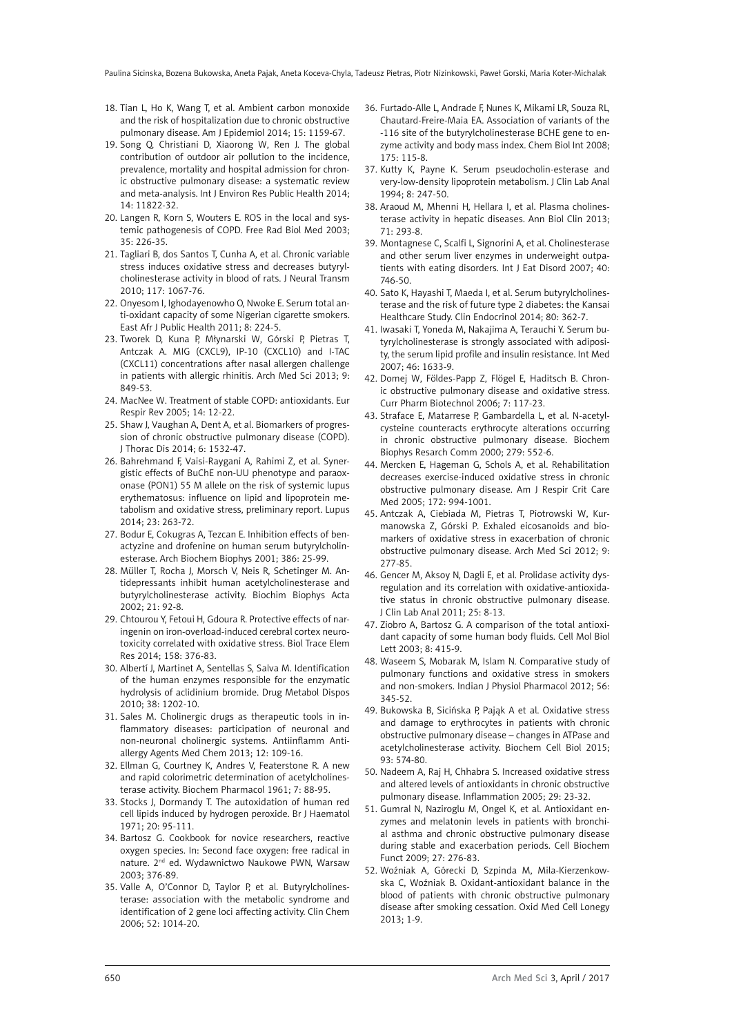- 18. Tian L, Ho K, Wang T, et al. Ambient carbon monoxide and the risk of hospitalization due to chronic obstructive pulmonary disease. Am J Epidemiol 2014; 15: 1159-67.
- 19. Song Q, Christiani D, Xiaorong W, Ren J. The global contribution of outdoor air pollution to the incidence, prevalence, mortality and hospital admission for chronic obstructive pulmonary disease: a systematic review and meta-analysis. Int J Environ Res Public Health 2014; 14: 11822-32.
- 20. Langen R, Korn S, Wouters E. ROS in the local and systemic pathogenesis of COPD. Free Rad Biol Med 2003; 35: 226-35.
- 21. Tagliari B, dos Santos T, Cunha A, et al. Chronic variable stress induces oxidative stress and decreases butyrylcholinesterase activity in blood of rats. J Neural Transm 2010; 117: 1067-76.
- 22. Onyesom I, Ighodayenowho O, Nwoke E. Serum total anti-oxidant capacity of some Nigerian cigarette smokers. East Afr J Public Health 2011; 8: 224-5.
- 23. Tworek D, Kuna P, Młynarski W, Górski P, Pietras T, Antczak A. MIG (CXCL9), IP-10 (CXCL10) and I-TAC (CXCL11) concentrations after nasal allergen challenge in patients with allergic rhinitis. Arch Med Sci 2013; 9: 849-53.
- 24. MacNee W. Treatment of stable COPD: antioxidants. Eur Respir Rev 2005; 14: 12-22.
- 25. Shaw J, Vaughan A, Dent A, et al. Biomarkers of progression of chronic obstructive pulmonary disease (COPD). J Thorac Dis 2014; 6: 1532-47.
- 26. Bahrehmand F, Vaisi-Raygani A, Rahimi Z, et al. Synergistic effects of BuChE non-UU phenotype and paraoxonase (PON1) 55 M allele on the risk of systemic lupus erythematosus: influence on lipid and lipoprotein metabolism and oxidative stress, preliminary report. Lupus 2014; 23: 263-72.
- 27. Bodur E, Cokugras A, Tezcan E. Inhibition effects of benactyzine and drofenine on human serum butyrylcholinesterase. Arch Biochem Biophys 2001; 386: 25-99.
- 28. Müller T, Rocha J, Morsch V, Neis R, Schetinger M. Antidepressants inhibit human acetylcholinesterase and butyrylcholinesterase activity. Biochim Biophys Acta 2002; 21: 92-8.
- 29. Chtourou Y, Fetoui H, Gdoura R. Protective effects of naringenin on iron-overload-induced cerebral cortex neurotoxicity correlated with oxidative stress. Biol Trace Elem Res 2014; 158: 376-83.
- 30. Albertí J, Martinet A, Sentellas S, Salva M. Identification of the human enzymes responsible for the enzymatic hydrolysis of aclidinium bromide. Drug Metabol Dispos 2010; 38: 1202-10.
- 31. Sales M. Cholinergic drugs as therapeutic tools in inflammatory diseases: participation of neuronal and non-neuronal cholinergic systems. Antiinflamm Antiallergy Agents Med Chem 2013; 12: 109-16.
- 32. Ellman G, Courtney K, Andres V, Featerstone R. A new and rapid colorimetric determination of acetylcholinesterase activity. Biochem Pharmacol 1961; 7: 88-95.
- 33. Stocks J, Dormandy T. The autoxidation of human red cell lipids induced by hydrogen peroxide. Br J Haematol 1971; 20: 95-111.
- 34. Bartosz G. Cookbook for novice researchers, reactive oxygen species. In: Second face oxygen: free radical in nature. 2<sup>nd</sup> ed. Wydawnictwo Naukowe PWN, Warsaw 2003; 376-89.
- 35. Valle A, O'Connor D, Taylor P, et al. Butyrylcholinesterase: association with the metabolic syndrome and identification of 2 gene loci affecting activity. Clin Chem 2006; 52: 1014-20.
- 36. Furtado-Alle L, Andrade F, Nunes K, Mikami LR, Souza RL, Chautard-Freire-Maia EA. Association of variants of the -116 site of the butyrylcholinesterase BCHE gene to enzyme activity and body mass index. Chem Biol Int 2008; 175: 115-8.
- 37. Kutty K, Payne K. Serum pseudocholin-esterase and very-low-density lipoprotein metabolism. J Clin Lab Anal 1994; 8: 247-50.
- 38. Araoud M, Mhenni H, Hellara I, et al. Plasma cholinesterase activity in hepatic diseases. Ann Biol Clin 2013; 71: 293-8.
- 39. Montagnese C, Scalfi L, Signorini A, et al. Cholinesterase and other serum liver enzymes in underweight outpatients with eating disorders. Int J Eat Disord 2007; 40: 746-50.
- 40. Sato K, Hayashi T, Maeda I, et al. Serum butyrylcholinesterase and the risk of future type 2 diabetes: the Kansai Healthcare Study. Clin Endocrinol 2014; 80: 362-7.
- 41. Iwasaki T, Yoneda M, Nakajima A, Terauchi Y. Serum butyrylcholinesterase is strongly associated with adiposity, the serum lipid profile and insulin resistance. Int Med 2007; 46: 1633-9.
- 42. Domej W, Földes-Papp Z, Flögel E, Haditsch B. Chronic obstructive pulmonary disease and oxidative stress. Curr Pharm Biotechnol 2006; 7: 117-23.
- 43. Straface E, Matarrese P, Gambardella L, et al. N-acetylcysteine counteracts erythrocyte alterations occurring in chronic obstructive pulmonary disease. Biochem Biophys Resarch Comm 2000; 279: 552-6.
- 44. Mercken E, Hageman G, Schols A, et al. Rehabilitation decreases exercise-induced oxidative stress in chronic obstructive pulmonary disease. Am J Respir Crit Care Med 2005; 172: 994-1001.
- 45. Antczak A, Ciebiada M, Pietras T, Piotrowski W, Kurmanowska Z, Górski P. Exhaled eicosanoids and biomarkers of oxidative stress in exacerbation of chronic obstructive pulmonary disease. Arch Med Sci 2012; 9: 277-85.
- 46. Gencer M, Aksoy N, Dagli E, et al. Prolidase activity dysregulation and its correlation with oxidative-antioxidative status in chronic obstructive pulmonary disease. J Clin Lab Anal 2011; 25: 8-13.
- 47. Ziobro A, Bartosz G. A comparison of the total antioxidant capacity of some human body fluids. Cell Mol Biol Lett 2003; 8: 415-9.
- 48. Waseem S, Mobarak M, Islam N. Comparative study of pulmonary functions and oxidative stress in smokers and non-smokers. Indian J Physiol Pharmacol 2012; 56: 345-52.
- 49. Bukowska B, Sicińska P, Pająk A et al. Oxidative stress and damage to erythrocytes in patients with chronic obstructive pulmonary disease – changes in ATPase and acetylcholinesterase activity. Biochem Cell Biol 2015; 93: 574-80.
- 50. Nadeem A, Raj H, Chhabra S. Increased oxidative stress and altered levels of antioxidants in chronic obstructive pulmonary disease. Inflammation 2005; 29: 23-32.
- 51. Gumral N, Naziroglu M, Ongel K, et al. Antioxidant enzymes and melatonin levels in patients with bronchial asthma and chronic obstructive pulmonary disease during stable and exacerbation periods. Cell Biochem Funct 2009; 27: 276-83.
- 52. Woźniak A, Górecki D, Szpinda M, Mila-Kierzenkowska C, Woźniak B. Oxidant-antioxidant balance in the blood of patients with chronic obstructive pulmonary disease after smoking cessation. Oxid Med Cell Lonegy 2013; 1-9.